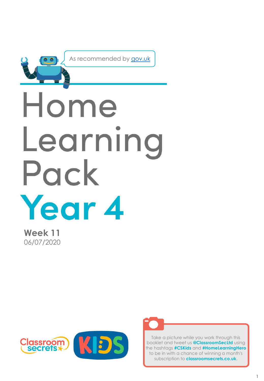

As recommended by [gov.uk](https://www.gov.uk/government/publications/coronavirus-covid-19-online-education-resources/coronavirus-covid-19-list-of-online-education-resources-for-home-education?)

# Home Learning Pack Year 4

**Week 11** 06/07/2020





Take a picture while you work through this booklet and tweet us **@ClassroomSecLtd** using the hashtags **#CSKids** and **#HomeLearningHero** to be in with a chance of winning a month's subscription to **classroomsecrets.co.uk**.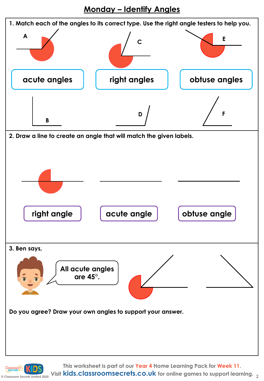**Monday – Identify Angles**

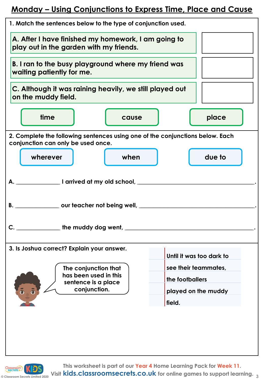#### **Monday – Using Conjunctions to Express Time, Place and Cause**



**© Classroom Secrets Limited 2020 Visit kids.classroomsecrets.co.uk for online games to support learning. 3**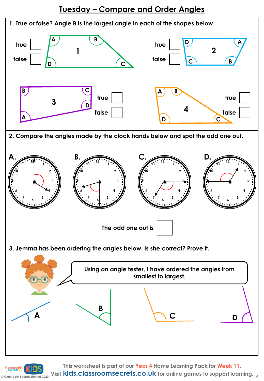

**This worksheet is part of our Year 4 Home Learning Pack for Week 11.**

**Visit kids.classroomsecrets.co.uk for online games to support learning. 4**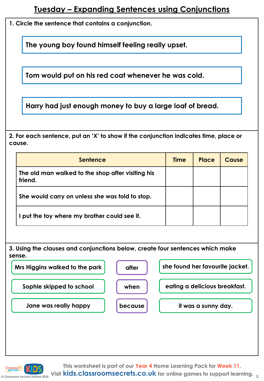**1. Circle the sentence that contains a conjunction.**

**The young boy found himself feeling really upset.**

**Tom would put on his red coat whenever he was cold.**

**Harry had just enough money to buy a large loaf of bread.**

**2. For each sentence, put an 'X' to show if the conjunction indicates time, place or cause.**

| <b>Sentence</b>                                              | <b>Time</b> | Place | Cause |
|--------------------------------------------------------------|-------------|-------|-------|
| The old man walked to the shop after visiting his<br>friend. |             |       |       |
| She would carry on unless she was told to stop.              |             |       |       |
| put the toy where my brother could see it.                   |             |       |       |

**3. Using the clauses and conjunctions below, create four sentences which make sense.**



**This worksheet is part of our Year 4 Home Learning Pack for Week 11.**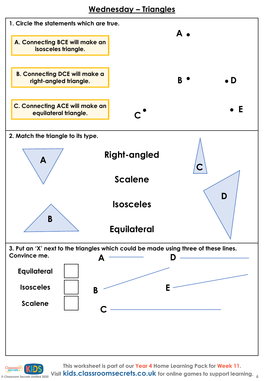

**This worksheet is part of our Year 4 Home Learning Pack for Week 11.**

**Consumed Apple 2020** Visit **kids.classroomsecrets.co.uk** for online games to support learning.  $\frac{1}{6}$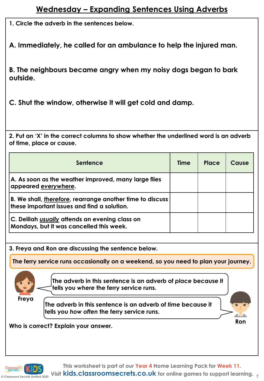**1. Circle the adverb in the sentences below.**

**A. Immediately, he called for an ambulance to help the injured man.** 

**B. The neighbours became angry when my noisy dogs began to bark outside.**

**C. Shut the window, otherwise it will get cold and damp.** 

**2. Put an 'X' in the correct columns to show whether the underlined word is an adverb of time, place or cause.**

| Sentence                                                                                                         | <b>Time</b> | Place | Cause |
|------------------------------------------------------------------------------------------------------------------|-------------|-------|-------|
| A. As soon as the weather improved, many large flies<br>appeared <u>everywhere</u> .                             |             |       |       |
| B. We shall, <i>therefore</i> , rearrange another time to discuss<br>these important issues and find a solution. |             |       |       |
| C. Delilah <i>usually</i> attends an evening class on<br>Mondays, but it was cancelled this week.                |             |       |       |

**3. Freya and Ron are discussing the sentence below.**

**The ferry service runs occasionally on a weekend, so you need to plan your journey.**



**The adverb in this sentence is an adverb of** *place* **because it tells you** *where* **the ferry service runs.** 

**Freya**

**The adverb in this sentence is an adverb of** *time* **because it tells you** *how often* **the ferry service runs.** 



**Who is correct? Explain your answer.** 

**This worksheet is part of our Year 4 Home Learning Pack for Week 11.**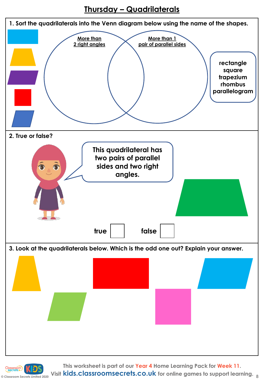#### **Thursday – Quadrilaterals**



**C** Classroom Secrets Limited 2020 Visit **kids.classroomsecrets.co.uk** for online games to support learning. 8 **This worksheet is part of our Year 4 Home Learning Pack for Week 11.**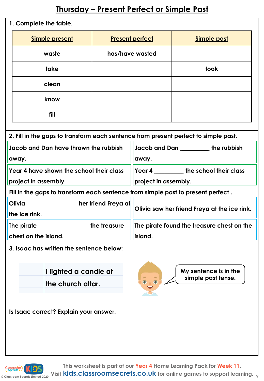## **Thursday – Present Perfect or Simple Past**

| 1. Complete the table.                                                              |                |                           |                        |                                      |  |
|-------------------------------------------------------------------------------------|----------------|---------------------------|------------------------|--------------------------------------|--|
|                                                                                     | Simple present |                           | <b>Present perfect</b> | <b>Simple past</b>                   |  |
|                                                                                     | waste          | has/have wasted           |                        |                                      |  |
|                                                                                     | take           |                           |                        | took                                 |  |
|                                                                                     | clean          |                           |                        |                                      |  |
|                                                                                     | know           |                           |                        |                                      |  |
|                                                                                     | fill           |                           |                        |                                      |  |
|                                                                                     |                |                           |                        |                                      |  |
| 2. Fill in the gaps to transform each sentence from present perfect to simple past. |                |                           |                        |                                      |  |
| Jacob and Dan have thrown the rubbish                                               |                | Jacob and Dan the rubbish |                        |                                      |  |
| away.                                                                               |                | away.                     |                        |                                      |  |
| Year 4 have shown the school their class                                            |                |                           |                        | <b>Year 4</b> the school their class |  |

**Fill in the gaps to transform each sentence from simple past to present perfect .**

**project in assembly. project in assembly.**

**chest on the island.**

**Olivia \_\_\_\_\_\_\_\_\_\_\_\_ \_\_\_\_\_\_\_\_\_\_\_\_\_\_\_\_\_\_\_ her friend Freya at** 

**3. Isaac has written the sentence below:**

**The pirate \_\_\_\_\_\_\_\_\_\_\_\_ \_\_\_\_\_\_\_\_\_\_\_\_\_\_\_\_\_\_\_ the treasure** 

**I lighted a candle at the church altar.**



**island.**

**My sentence is in the simple past tense.**

**Olivia saw her friend Freya at the ice rink.**

**The pirate found the treasure chest on the** 

**Is Isaac correct? Explain your answer.**



**the ice rink.**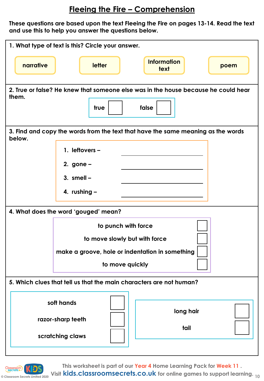### **Fleeing the Fire – Comprehension**

**These questions are based upon the text Fleeing the Fire on pages 13-14. Read the text and use this to help you answer the questions below.** 

|                                                                                            | 1. What type of text is this? Circle your answer.                                                                          |                            |      |  |
|--------------------------------------------------------------------------------------------|----------------------------------------------------------------------------------------------------------------------------|----------------------------|------|--|
| narrative                                                                                  | letter                                                                                                                     | <b>Information</b><br>text | poem |  |
| them.                                                                                      | 2. True or false? He knew that someone else was in the house because he could hear<br>true                                 | false                      |      |  |
| 3. Find and copy the words from the text that have the same meaning as the words<br>below. |                                                                                                                            |                            |      |  |
|                                                                                            | 1. leftovers $-$<br>2. gone $-$<br>3. smell $-$<br>4. rushing -                                                            |                            |      |  |
| 4. What does the word 'gouged' mean?                                                       |                                                                                                                            |                            |      |  |
|                                                                                            | to punch with force<br>to move slowly but with force<br>make a groove, hole or indentation in something<br>to move quickly |                            |      |  |
|                                                                                            | 5. Which clues that tell us that the main characters are not human?                                                        |                            |      |  |
|                                                                                            | soft hands<br>razor-sharp teeth<br>scratching claws                                                                        | long hair<br>tail          |      |  |
|                                                                                            |                                                                                                                            |                            |      |  |



**This worksheet is part of our Year 4 Home Learning Pack for Week 11 .**

**© Classroom Secrets Limited 2020 10 Visit kids.classroomsecrets.co.uk for online games to support learning.**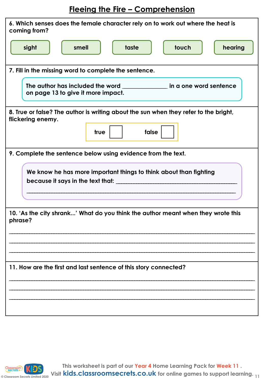# **Fleeing the Fire – Comprehension**

| 6. Which senses does the female character rely on to work out where the heat is<br>coming from?           |  |  |  |  |
|-----------------------------------------------------------------------------------------------------------|--|--|--|--|
| taste<br>touch<br>hearing<br>sight<br>smell                                                               |  |  |  |  |
| 7. Fill in the missing word to complete the sentence.                                                     |  |  |  |  |
| The author has included the word<br>in a one word sentence<br>on page 13 to give it more impact.          |  |  |  |  |
| 8. True or false? The author is writing about the sun when they refer to the bright,<br>flickering enemy. |  |  |  |  |
|                                                                                                           |  |  |  |  |
| false<br>true                                                                                             |  |  |  |  |
| 9. Complete the sentence below using evidence from the text.                                              |  |  |  |  |
| We know he has more important things to think about than fighting<br>because it says in the text that:    |  |  |  |  |
| 10. 'As the city shrank' What do you think the author meant when they wrote this<br>phrase?               |  |  |  |  |
|                                                                                                           |  |  |  |  |
|                                                                                                           |  |  |  |  |
| 11. How are the first and last sentence of this story connected?                                          |  |  |  |  |
|                                                                                                           |  |  |  |  |
|                                                                                                           |  |  |  |  |
|                                                                                                           |  |  |  |  |

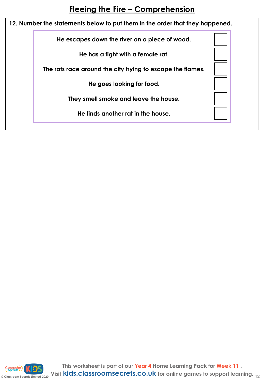| 12. Number the statements below to put them in the order that they happened. |                                                            |  |  |  |
|------------------------------------------------------------------------------|------------------------------------------------------------|--|--|--|
|                                                                              | He escapes down the river on a piece of wood.              |  |  |  |
|                                                                              | He has a fight with a female rat.                          |  |  |  |
|                                                                              | The rats race around the city trying to escape the flames. |  |  |  |
|                                                                              | He goes looking for food.                                  |  |  |  |
|                                                                              | They smell smoke and leave the house.                      |  |  |  |
|                                                                              | He finds another rat in the house.                         |  |  |  |
|                                                                              |                                                            |  |  |  |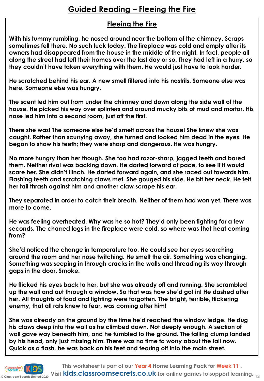#### **Fleeing the Fire**

**With his tummy rumbling, he nosed around near the bottom of the chimney. Scraps sometimes fell there. No such luck today. The fireplace was cold and empty after its owners had disappeared from the house in the middle of the night. In fact, people all along the street had left their homes over the last day or so. They had left in a hurry, so they couldn't have taken everything with them. He would just have to look harder.**

**He scratched behind his ear. A new smell filtered into his nostrils. Someone else was here. Someone else was hungry.**

**The scent led him out from under the chimney and down along the side wall of the house. He picked his way over splinters and around mucky bits of mud and mortar. His nose led him into a second room, just off the first.**

**There she was! The someone else he'd smelt across the house! She knew she was caught. Rather than scurrying away, she turned and looked him dead in the eyes. He began to show his teeth; they were sharp and dangerous. He was hungry.**

**No more hungry than her though. She too had razor-sharp, jagged teeth and bared them. Neither rival was backing down. He darted forward at pace, to see if it would scare her. She didn't flinch. He darted forward again, and she raced out towards him. Flashing teeth and scratching claws met. She gouged his side. He bit her neck. He felt her tail thrash against him and another claw scrape his ear.** 

**They separated in order to catch their breath. Neither of them had won yet. There was more to come.**

**He was feeling overheated. Why was he so hot? They'd only been fighting for a few seconds. The charred logs in the fireplace were cold, so where was that heat coming from?**

**She'd noticed the change in temperature too. He could see her eyes searching around the room and her nose twitching. He smelt the air. Something was changing. Something was seeping in through cracks in the walls and threading its way through gaps in the door. Smoke.**

**He flicked his eyes back to her, but she was already off and running. She scrambled up the wall and out through a window. So that was how she'd got in! He dashed after her. All thoughts of food and fighting were forgotten. The bright, terrible, flickering enemy, that all rats knew to fear, was coming after him!**

**She was already on the ground by the time he'd reached the window ledge. He dug his claws deep into the wall as he climbed down. Not deeply enough. A section of wall gave way beneath him, and he tumbled to the ground. The falling clump landed by his head, only just missing him. There was no time to worry about the fall now. Quick as a flash, he was back on his feet and tearing off into the main street.**